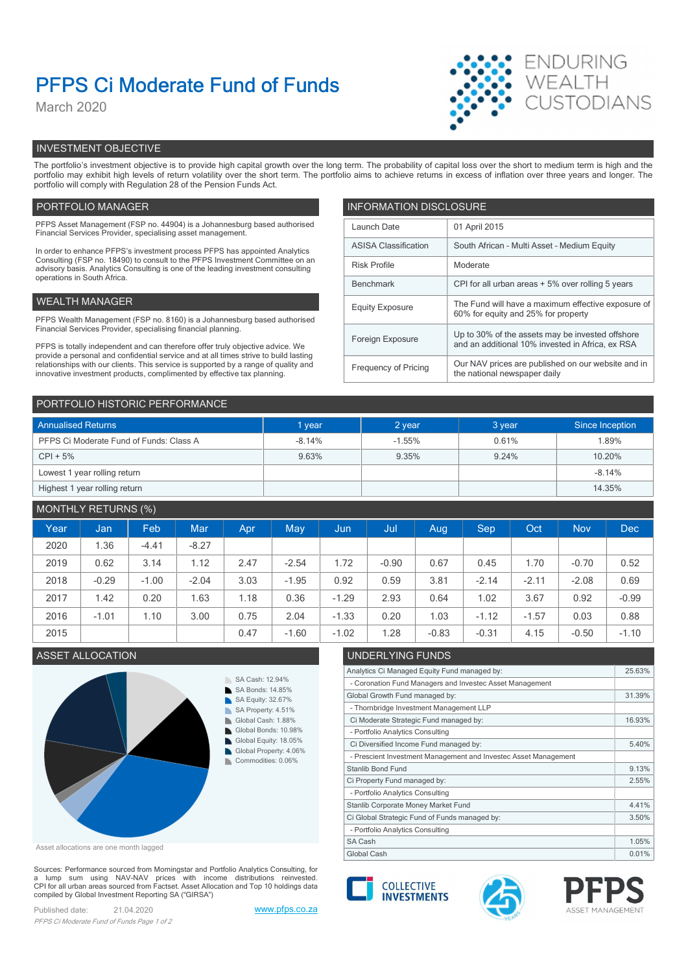# PFPS Ci Moderate Fund of Funds

March 2020



# INVESTMENT OBJECTIVE

The portfolio's investment objective is to provide high capital growth over the long term. The probability of capital loss over the short to medium term is high and the portfolio may exhibit high levels of return volatility over the short term. The portfolio aims to achieve returns in excess of inflation over three years and longer. The portfolio will comply with Regulation 28 of the Pension Funds Act.

# PORTFOLIO MANAGER **INFORMATION DISCLOSURE**

| PFPS Asset Management (FSP no. 44904) is a Johannesburg based authorised<br>Financial Services Provider, specialising asset management.                                                                                                                | Launch Date                     | 01 April 2015                                                                             |
|--------------------------------------------------------------------------------------------------------------------------------------------------------------------------------------------------------------------------------------------------------|---------------------------------|-------------------------------------------------------------------------------------------|
| In order to enhance PFPS's investment process PFPS has appointed Analytics                                                                                                                                                                             | <b>ASISA Classification</b>     | South African - Multi Asset - Medium Equity                                               |
| Consulting (FSP no. 18490) to consult to the PFPS Investment Committee on an<br>advisory basis. Analytics Consulting is one of the leading investment consulting                                                                                       | <b>Risk Profile</b><br>Moderate |                                                                                           |
| operations in South Africa.                                                                                                                                                                                                                            | Benchmark                       | CPI for all urban areas + 5% over rolling 5 years                                         |
| WEALTH MANAGER                                                                                                                                                                                                                                         | <b>Equity Exposure</b>          | The Fund will have a maximum effective exposure of<br>60% for equity and 25% for property |
| PFPS Wealth Management (FSP no. 8160) is a Johannesburg based authorised                                                                                                                                                                               |                                 |                                                                                           |
| Financial Services Provider, specialising financial planning.                                                                                                                                                                                          | Foreign Exposure                | Up to 30% of the assets may be invested offshore                                          |
| PFPS is totally independent and can therefore offer truly objective advice. We                                                                                                                                                                         |                                 | and an additional 10% invested in Africa, ex RSA                                          |
| provide a personal and confidential service and at all times strive to build lasting<br>relationships with our clients. This service is supported by a range of quality and<br>innovative investment products, complimented by effective tax planning. | Frequency of Pricing            | Our NAV prices are published on our website and in<br>the national newspaper daily        |
|                                                                                                                                                                                                                                                        |                                 |                                                                                           |

| PORTFOLIO HISTORIC PERFORMANCE          |          |          |        |                 |  |
|-----------------------------------------|----------|----------|--------|-----------------|--|
| <b>Annualised Returns</b>               | 1 year   | 2 year   | 3 year | Since Inception |  |
| PFPS Ci Moderate Fund of Funds: Class A | $-8.14%$ | $-1.55%$ | 0.61%  | 1.89%           |  |
| $CPI + 5%$                              | 9.63%    | 9.35%    | 9.24%  | 10.20%          |  |
| Lowest 1 year rolling return            |          |          |        | $-8.14%$        |  |
| Highest 1 year rolling return           |          |          |        | 14.35%          |  |

# MONTHLY RETURNS (%)

|      |         | $\sim$ $\sim$ |         |      |            |         |         |         |         |         |            |            |
|------|---------|---------------|---------|------|------------|---------|---------|---------|---------|---------|------------|------------|
| Year | Jan     | Feb           | Mar     | Apr  | <b>May</b> | Jun,    | Jul     | Aug     | Sep     | Oct     | <b>Nov</b> | <b>Dec</b> |
| 2020 | 1.36    | $-4.41$       | $-8.27$ |      |            |         |         |         |         |         |            |            |
| 2019 | 0.62    | 3.14          | 1.12    | 2.47 | $-2.54$    | 1.72    | $-0.90$ | 0.67    | 0.45    | .70     | $-0.70$    | 0.52       |
| 2018 | $-0.29$ | $-1.00$       | $-2.04$ | 3.03 | $-1.95$    | 0.92    | 0.59    | 3.81    | $-2.14$ | $-2.11$ | $-2.08$    | 0.69       |
| 2017 | 1.42    | 0.20          | 1.63    | 1.18 | 0.36       | $-1.29$ | 2.93    | 0.64    | 1.02    | 3.67    | 0.92       | $-0.99$    |
| 2016 | $-1.01$ | 1.10          | 3.00    | 0.75 | 2.04       | $-1.33$ | 0.20    | 1.03    | $-1.12$ | $-1.57$ | 0.03       | 0.88       |
| 2015 |         |               |         | 0.47 | $-1.60$    | $-1.02$ | .28     | $-0.83$ | $-0.31$ | 4.15    | $-0.50$    | $-1.10$    |
|      |         |               |         |      |            |         |         |         |         |         |            |            |



Asset allocations are one month lagged

Sources: Performance sourced from Morningstar and Portfolio Analytics Consulting, for a lump sum using NAV-NAV prices with income distributions reinvested.<br>CPI for all urban areas sourced from Factset. Asset Allocation and Top 10 holdings data compiled by Global Investment Reporting SA ("GIRSA")

Published date: 21.04.2020 www.pfps.co.za PFPS Ci Moderate Fund of Funds Page 1 of 2

# ASSET ALLOCATION UNDERLYING FUNDS

| Analytics Ci Managed Equity Fund managed by:                    | 25.63% |
|-----------------------------------------------------------------|--------|
| - Coronation Fund Managers and Investec Asset Management        |        |
| Global Growth Fund managed by:                                  | 31.39% |
| - Thornbridge Investment Management LLP                         |        |
| Ci Moderate Strategic Fund managed by:                          | 16.93% |
| - Portfolio Analytics Consulting                                |        |
| Ci Diversified Income Fund managed by:                          | 5.40%  |
| - Prescient Investment Management and Investec Asset Management |        |
| <b>Stanlib Bond Fund</b>                                        | 9.13%  |
| Ci Property Fund managed by:                                    | 2.55%  |
| - Portfolio Analytics Consulting                                |        |
| Stanlib Corporate Money Market Fund                             | 4.41%  |
| Ci Global Strategic Fund of Funds managed by:                   | 3.50%  |
| - Portfolio Analytics Consulting                                |        |
| SA Cash                                                         | 1.05%  |
| Global Cash                                                     | 0.01%  |